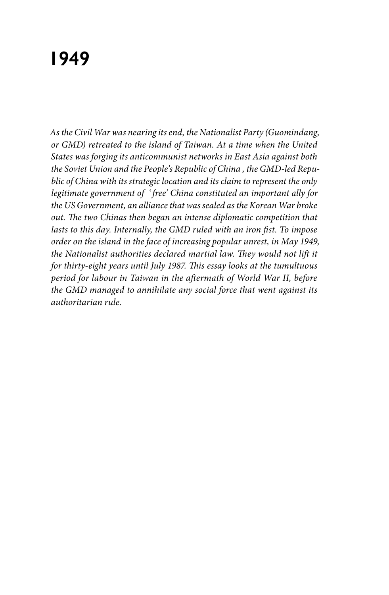# **1949**

*As the Civil War was nearing its end, the Nationalist Party (Guomindang, or GMD) retreated to the island of Taiwan. At a time when the United States was forging its anticommunist networks in East Asia against both the Soviet Union and the People's Republic of China , the GMD-led Republic of China with its strategic location and its claim to represent the only legitimate government of ' free' China constituted an important ally for the US Government, an alliance that was sealed as the Korean War broke out. The two Chinas then began an intense diplomatic competition that lasts to this day. Internally, the GMD ruled with an iron fist. To impose order on the island in the face of increasing popular unrest, in May 1949, the Nationalist authorities declared martial law. They would not lift it for thirty-eight years until July 1987. This essay looks at the tumultuous period for labour in Taiwan in the aftermath of World War II, before the GMD managed to annihilate any social force that went against its authoritarian rule.*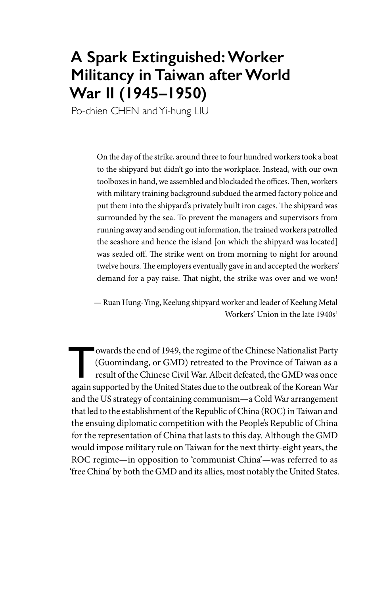# **A Spark Extinguished: Worker Militancy in Taiwan after World War II (1945–1950)**

Po-chien CHEN and Yi-hung LIU

On the day of the strike, around three to four hundred workers took a boat to the shipyard but didn't go into the workplace. Instead, with our own toolboxes in hand, we assembled and blockaded the offices. Then, workers with military training background subdued the armed factory police and put them into the shipyard's privately built iron cages. The shipyard was surrounded by the sea. To prevent the managers and supervisors from running away and sending out information, the trained workers patrolled the seashore and hence the island [on which the shipyard was located] was sealed off. The strike went on from morning to night for around twelve hours. The employers eventually gave in and accepted the workers' demand for a pay raise. That night, the strike was over and we won!

— Ruan Hung-Ying, Keelung shipyard worker and leader of Keelung Metal Workers' Union in the late 1940s<sup>1</sup>

owards the end of 1949, the regime of the Chinese Nationalist Party<br>(Guomindang, or GMD) retreated to the Province of Taiwan as a<br>result of the Chinese Civil War. Albeit defeated, the GMD was once<br>again supported by the Un (Guomindang, or GMD) retreated to the Province of Taiwan as a result of the Chinese Civil War. Albeit defeated, the GMD was once again supported by the United States due to the outbreak of the Korean War and the US strategy of containing communism—a Cold War arrangement that led to the establishment of the Republic of China (ROC) in Taiwan and the ensuing diplomatic competition with the People's Republic of China for the representation of China that lasts to this day. Although the GMD would impose military rule on Taiwan for the next thirty-eight years, the ROC regime—in opposition to 'communist China'—was referred to as 'free China' by both the GMD and its allies, most notably the United States.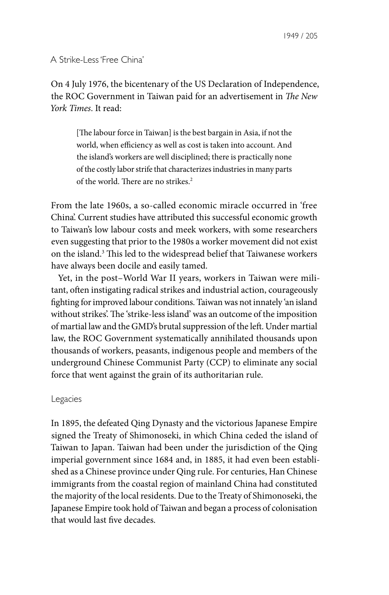A Strike-Less 'Free China'

On 4 July 1976, the bicentenary of the US Declaration of Independence, the ROC Government in Taiwan paid for an advertisement in *The New York Times*. It read:

[The labour force in Taiwan] is the best bargain in Asia, if not the world, when efficiency as well as cost is taken into account. And the island's workers are well disciplined; there is practically none of the costly labor strife that characterizes industries in many parts of the world. There are no strikes.<sup>2</sup>

From the late 1960s, a so-called economic miracle occurred in 'free China'. Current studies have attributed this successful economic growth to Taiwan's low labour costs and meek workers, with some researchers even suggesting that prior to the 1980s a worker movement did not exist on the island.<sup>3</sup> This led to the widespread belief that Taiwanese workers have always been docile and easily tamed.

Yet, in the post–World War II years, workers in Taiwan were militant, often instigating radical strikes and industrial action, courageously fighting for improved labour conditions. Taiwan was not innately 'an island without strikes'. The 'strike-less island' was an outcome of the imposition of martial law and the GMD's brutal suppression of the left. Under martial law, the ROC Government systematically annihilated thousands upon thousands of workers, peasants, indigenous people and members of the underground Chinese Communist Party (CCP) to eliminate any social force that went against the grain of its authoritarian rule.

## Legacies

In 1895, the defeated Qing Dynasty and the victorious Japanese Empire signed the Treaty of Shimonoseki, in which China ceded the island of Taiwan to Japan. Taiwan had been under the jurisdiction of the Qing imperial government since 1684 and, in 1885, it had even been established as a Chinese province under Qing rule. For centuries, Han Chinese immigrants from the coastal region of mainland China had constituted the majority of the local residents. Due to the Treaty of Shimonoseki, the Japanese Empire took hold of Taiwan and began a process of colonisation that would last five decades.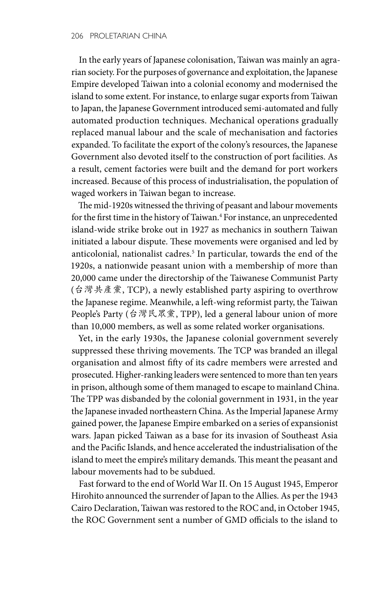In the early years of Japanese colonisation, Taiwan was mainly an agrarian society. For the purposes of governance and exploitation, the Japanese Empire developed Taiwan into a colonial economy and modernised the island to some extent. For instance, to enlarge sugar exports from Taiwan to Japan, the Japanese Government introduced semi-automated and fully automated production techniques. Mechanical operations gradually replaced manual labour and the scale of mechanisation and factories expanded. To facilitate the export of the colony's resources, the Japanese Government also devoted itself to the construction of port facilities. As a result, cement factories were built and the demand for port workers increased. Because of this process of industrialisation, the population of waged workers in Taiwan began to increase.

The mid-1920s witnessed the thriving of peasant and labour movements for the first time in the history of Taiwan.<sup>4</sup> For instance, an unprecedented island-wide strike broke out in 1927 as mechanics in southern Taiwan initiated a labour dispute. These movements were organised and led by anticolonial, nationalist cadres.<sup>5</sup> In particular, towards the end of the 1920s, a nationwide peasant union with a membership of more than 20,000 came under the directorship of the Taiwanese Communist Party (台灣共產黨, TCP), a newly established party aspiring to overthrow the Japanese regime. Meanwhile, a left-wing reformist party, the Taiwan People's Party (台灣民眾黨, TPP), led a general labour union of more than 10,000 members, as well as some related worker organisations.

Yet, in the early 1930s, the Japanese colonial government severely suppressed these thriving movements. The TCP was branded an illegal organisation and almost fifty of its cadre members were arrested and prosecuted. Higher-ranking leaders were sentenced to more than ten years in prison, although some of them managed to escape to mainland China. The TPP was disbanded by the colonial government in 1931, in the year the Japanese invaded northeastern China. As the Imperial Japanese Army gained power, the Japanese Empire embarked on a series of expansionist wars. Japan picked Taiwan as a base for its invasion of Southeast Asia and the Pacific Islands, and hence accelerated the industrialisation of the island to meet the empire's military demands. This meant the peasant and labour movements had to be subdued.

Fast forward to the end of World War II. On 15 August 1945, Emperor Hirohito announced the surrender of Japan to the Allies. As per the 1943 Cairo Declaration, Taiwan was restored to the ROC and, in October 1945, the ROC Government sent a number of GMD officials to the island to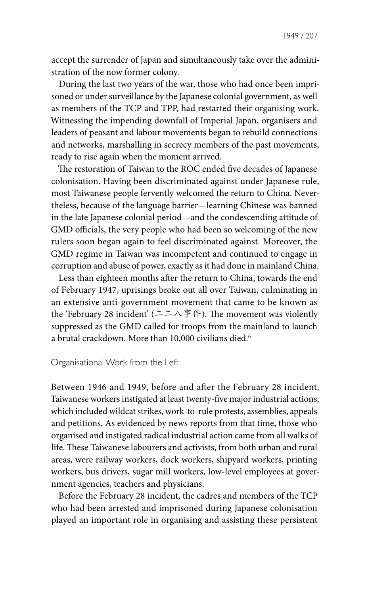accept the surrender of Japan and simultaneously take over the administration of the now former colony.

During the last two years of the war, those who had once been imprisoned or under surveillance by the Japanese colonial government, as well as members of the TCP and TPP, had restarted their organising work. Witnessing the impending downfall of Imperial Japan, organisers and leaders of peasant and labour movements began to rebuild connections and networks, marshalling in secrecy members of the past movements, ready to rise again when the moment arrived.

The restoration of Taiwan to the ROC ended five decades of Japanese colonisation. Having been discriminated against under Japanese rule, most Taiwanese people fervently welcomed the return to China. Nevertheless, because of the language barrier—learning Chinese was banned in the late Japanese colonial period—and the condescending attitude of GMD officials, the very people who had been so welcoming of the new rulers soon began again to feel discriminated against. Moreover, the GMD regime in Taiwan was incompetent and continued to engage in corruption and abuse of power, exactly as it had done in mainland China.

Less than eighteen months after the return to China, towards the end of February 1947, uprisings broke out all over Taiwan, culminating in an extensive anti-government movement that came to be known as the 'February 28 incident' (二二八事件). The movement was violently suppressed as the GMD called for troops from the mainland to launch a brutal crackdown. More than 10,000 civilians died.<sup>6</sup>

#### Organisational Work from the Left

Between 1946 and 1949, before and after the February 28 incident, Taiwanese workers instigated at least twenty-five major industrial actions, which included wildcat strikes, work-to-rule protests, assemblies, appeals and petitions. As evidenced by news reports from that time, those who organised and instigated radical industrial action came from all walks of life. These Taiwanese labourers and activists, from both urban and rural areas, were railway workers, dock workers, shipyard workers, printing workers, bus drivers, sugar mill workers, low-level employees at government agencies, teachers and physicians.

Before the February 28 incident, the cadres and members of the TCP who had been arrested and imprisoned during Japanese colonisation played an important role in organising and assisting these persistent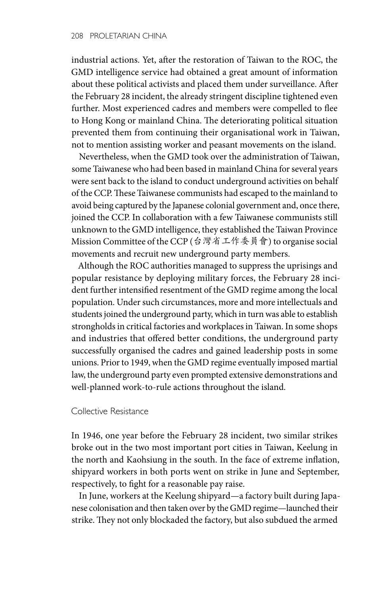industrial actions. Yet, after the restoration of Taiwan to the ROC, the GMD intelligence service had obtained a great amount of information about these political activists and placed them under surveillance. After the February 28 incident, the already stringent discipline tightened even further. Most experienced cadres and members were compelled to flee to Hong Kong or mainland China. The deteriorating political situation prevented them from continuing their organisational work in Taiwan, not to mention assisting worker and peasant movements on the island.

Nevertheless, when the GMD took over the administration of Taiwan, some Taiwanese who had been based in mainland China for several years were sent back to the island to conduct underground activities on behalf of the CCP. These Taiwanese communists had escaped to the mainland to avoid being captured by the Japanese colonial government and, once there, joined the CCP. In collaboration with a few Taiwanese communists still unknown to the GMD intelligence, they established the Taiwan Province Mission Committee of the CCP (台灣省工作委員會) to organise social movements and recruit new underground party members.

Although the ROC authorities managed to suppress the uprisings and popular resistance by deploying military forces, the February 28 incident further intensified resentment of the GMD regime among the local population. Under such circumstances, more and more intellectuals and students joined the underground party, which in turn was able to establish strongholds in critical factories and workplaces in Taiwan. In some shops and industries that offered better conditions, the underground party successfully organised the cadres and gained leadership posts in some unions. Prior to 1949, when the GMD regime eventually imposed martial law, the underground party even prompted extensive demonstrations and well-planned work-to-rule actions throughout the island.

## Collective Resistance

In 1946, one year before the February 28 incident, two similar strikes broke out in the two most important port cities in Taiwan, Keelung in the north and Kaohsiung in the south. In the face of extreme inflation, shipyard workers in both ports went on strike in June and September, respectively, to fight for a reasonable pay raise.

In June, workers at the Keelung shipyard—a factory built during Japanese colonisation and then taken over by the GMD regime—launched their strike. They not only blockaded the factory, but also subdued the armed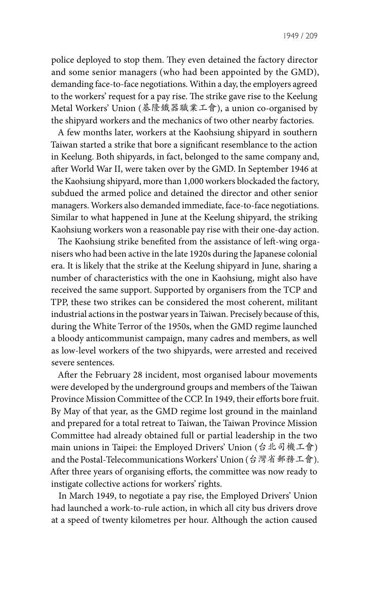police deployed to stop them. They even detained the factory director and some senior managers (who had been appointed by the GMD), demanding face-to-face negotiations. Within a day, the employers agreed to the workers' request for a pay rise. The strike gave rise to the Keelung Metal Workers' Union (基隆鐵器職業工會), a union co-organised by the shipyard workers and the mechanics of two other nearby factories.

A few months later, workers at the Kaohsiung shipyard in southern Taiwan started a strike that bore a significant resemblance to the action in Keelung. Both shipyards, in fact, belonged to the same company and, after World War II, were taken over by the GMD. In September 1946 at the Kaohsiung shipyard, more than 1,000 workers blockaded the factory, subdued the armed police and detained the director and other senior managers. Workers also demanded immediate, face-to-face negotiations. Similar to what happened in June at the Keelung shipyard, the striking Kaohsiung workers won a reasonable pay rise with their one-day action.

The Kaohsiung strike benefited from the assistance of left-wing organisers who had been active in the late 1920s during the Japanese colonial era. It is likely that the strike at the Keelung shipyard in June, sharing a number of characteristics with the one in Kaohsiung, might also have received the same support. Supported by organisers from the TCP and TPP, these two strikes can be considered the most coherent, militant industrial actions in the postwar years in Taiwan. Precisely because of this, during the White Terror of the 1950s, when the GMD regime launched a bloody anticommunist campaign, many cadres and members, as well as low-level workers of the two shipyards, were arrested and received severe sentences.

After the February 28 incident, most organised labour movements were developed by the underground groups and members of the Taiwan Province Mission Committee of the CCP. In 1949, their efforts bore fruit. By May of that year, as the GMD regime lost ground in the mainland and prepared for a total retreat to Taiwan, the Taiwan Province Mission Committee had already obtained full or partial leadership in the two main unions in Taipei: the Employed Drivers' Union (台北司機工會) and the Postal-Telecommunications Workers' Union (台灣省郵務工會). After three years of organising efforts, the committee was now ready to instigate collective actions for workers' rights.

In March 1949, to negotiate a pay rise, the Employed Drivers' Union had launched a work-to-rule action, in which all city bus drivers drove at a speed of twenty kilometres per hour. Although the action caused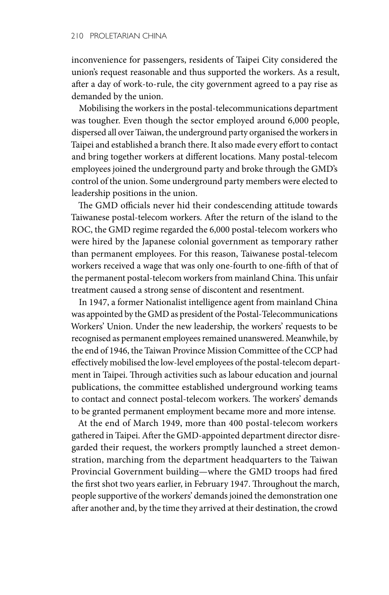inconvenience for passengers, residents of Taipei City considered the union's request reasonable and thus supported the workers. As a result, after a day of work-to-rule, the city government agreed to a pay rise as demanded by the union.

Mobilising the workers in the postal-telecommunications department was tougher. Even though the sector employed around 6,000 people, dispersed all over Taiwan, the underground party organised the workers in Taipei and established a branch there. It also made every effort to contact and bring together workers at different locations. Many postal-telecom employees joined the underground party and broke through the GMD's control of the union. Some underground party members were elected to leadership positions in the union.

The GMD officials never hid their condescending attitude towards Taiwanese postal-telecom workers. After the return of the island to the ROC, the GMD regime regarded the 6,000 postal-telecom workers who were hired by the Japanese colonial government as temporary rather than permanent employees. For this reason, Taiwanese postal-telecom workers received a wage that was only one-fourth to one-fifth of that of the permanent postal-telecom workers from mainland China. This unfair treatment caused a strong sense of discontent and resentment.

In 1947, a former Nationalist intelligence agent from mainland China was appointed by the GMD as president of the Postal-Telecommunications Workers' Union. Under the new leadership, the workers' requests to be recognised as permanent employees remained unanswered. Meanwhile, by the end of 1946, the Taiwan Province Mission Committee of the CCP had effectively mobilised the low-level employees of the postal-telecom department in Taipei. Through activities such as labour education and journal publications, the committee established underground working teams to contact and connect postal-telecom workers. The workers' demands to be granted permanent employment became more and more intense.

At the end of March 1949, more than 400 postal-telecom workers gathered in Taipei. After the GMD-appointed department director disregarded their request, the workers promptly launched a street demonstration, marching from the department headquarters to the Taiwan Provincial Government building—where the GMD troops had fired the first shot two years earlier, in February 1947. Throughout the march, people supportive of the workers' demands joined the demonstration one after another and, by the time they arrived at their destination, the crowd